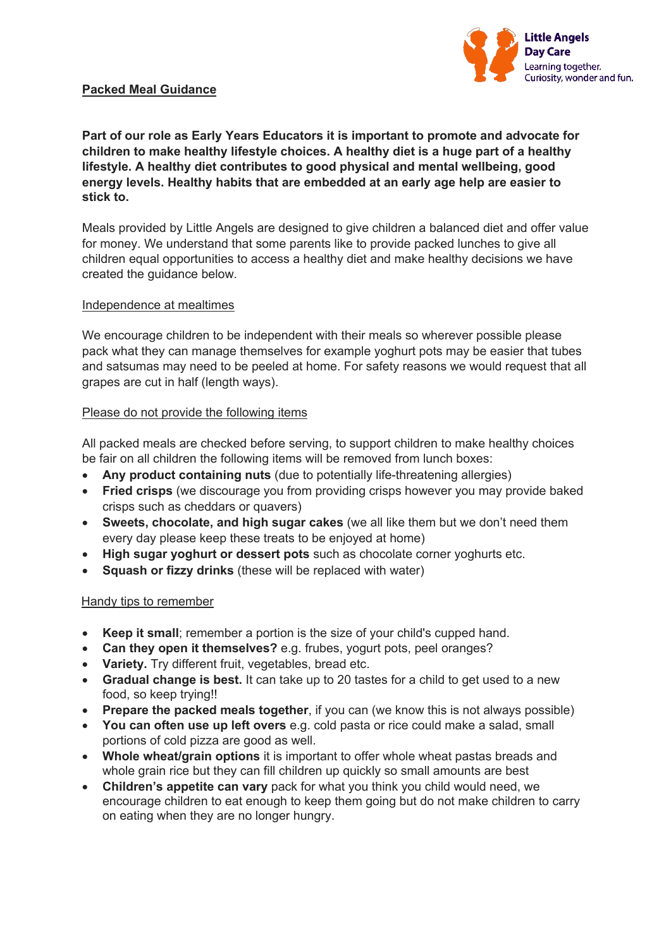

# **Packed Meal Guidance**

**Part of our role as Early Years Educators it is important to promote and advocate for children to make healthy lifestyle choices. A healthy diet is a huge part of a healthy lifestyle. A healthy diet contributes to good physical and mental wellbeing, good energy levels. Healthy habits that are embedded at an early age help are easier to stick to.** 

Meals provided by Little Angels are designed to give children a balanced diet and offer value for money. We understand that some parents like to provide packed lunches to give all children equal opportunities to access a healthy diet and make healthy decisions we have created the guidance below.

#### Independence at mealtimes

We encourage children to be independent with their meals so wherever possible please pack what they can manage themselves for example yoghurt pots may be easier that tubes and satsumas may need to be peeled at home. For safety reasons we would request that all grapes are cut in half (length ways).

#### Please do not provide the following items

All packed meals are checked before serving, to support children to make healthy choices be fair on all children the following items will be removed from lunch boxes:

- **Any product containing nuts** (due to potentially life-threatening allergies)
- **Fried crisps** (we discourage you from providing crisps however you may provide baked crisps such as cheddars or quavers)
- **Sweets, chocolate, and high sugar cakes** (we all like them but we don't need them every day please keep these treats to be enjoyed at home)
- **High sugar yoghurt or dessert pots** such as chocolate corner yoghurts etc.
- **Squash or fizzy drinks** (these will be replaced with water)

#### Handy tips to remember

- **Keep it small**; remember a portion is the size of your child's cupped hand.
- **Can they open it themselves?** e.g. frubes, yogurt pots, peel oranges?
- **Variety.** Try different fruit, vegetables, bread etc.
- **Gradual change is best.** It can take up to 20 tastes for a child to get used to a new food, so keep trying!!
- **Prepare the packed meals together**, if you can (we know this is not always possible)
- **You can often use up left overs** e.g. cold pasta or rice could make a salad, small portions of cold pizza are good as well.
- **Whole wheat/grain options** it is important to offer whole wheat pastas breads and whole grain rice but they can fill children up quickly so small amounts are best
- **Children's appetite can vary** pack for what you think you child would need, we encourage children to eat enough to keep them going but do not make children to carry on eating when they are no longer hungry.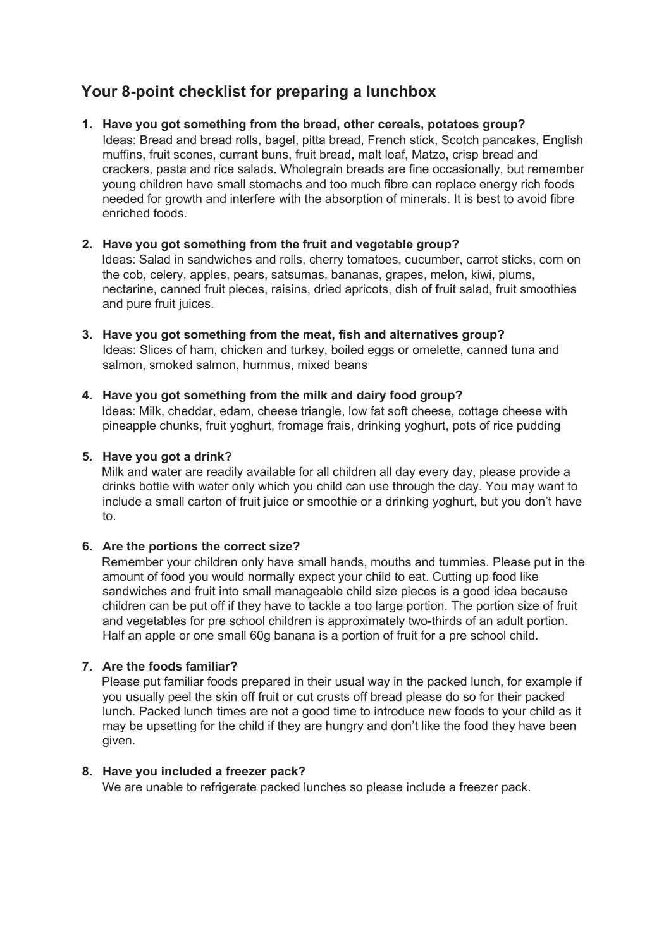# **Your 8-point checklist for preparing a lunchbox**

## **1. Have you got something from the bread, other cereals, potatoes group?**

Ideas: Bread and bread rolls, bagel, pitta bread, French stick, Scotch pancakes, English muffins, fruit scones, currant buns, fruit bread, malt loaf, Matzo, crisp bread and crackers, pasta and rice salads. Wholegrain breads are fine occasionally, but remember young children have small stomachs and too much fibre can replace energy rich foods needed for growth and interfere with the absorption of minerals. It is best to avoid fibre enriched foods.

#### **2. Have you got something from the fruit and vegetable group?**

Ideas: Salad in sandwiches and rolls, cherry tomatoes, cucumber, carrot sticks, corn on the cob, celery, apples, pears, satsumas, bananas, grapes, melon, kiwi, plums, nectarine, canned fruit pieces, raisins, dried apricots, dish of fruit salad, fruit smoothies and pure fruit juices.

**3. Have you got something from the meat, fish and alternatives group?**  Ideas: Slices of ham, chicken and turkey, boiled eggs or omelette, canned tuna and salmon, smoked salmon, hummus, mixed beans

#### **4. Have you got something from the milk and dairy food group?**

Ideas: Milk, cheddar, edam, cheese triangle, low fat soft cheese, cottage cheese with pineapple chunks, fruit yoghurt, fromage frais, drinking yoghurt, pots of rice pudding

#### **5. Have you got a drink?**

Milk and water are readily available for all children all day every day, please provide a drinks bottle with water only which you child can use through the day. You may want to include a small carton of fruit juice or smoothie or a drinking yoghurt, but you don't have to.

#### **6. Are the portions the correct size?**

Remember your children only have small hands, mouths and tummies. Please put in the amount of food you would normally expect your child to eat. Cutting up food like sandwiches and fruit into small manageable child size pieces is a good idea because children can be put off if they have to tackle a too large portion. The portion size of fruit and vegetables for pre school children is approximately two-thirds of an adult portion. Half an apple or one small 60g banana is a portion of fruit for a pre school child.

#### **7. Are the foods familiar?**

Please put familiar foods prepared in their usual way in the packed lunch, for example if you usually peel the skin off fruit or cut crusts off bread please do so for their packed lunch. Packed lunch times are not a good time to introduce new foods to your child as it may be upsetting for the child if they are hungry and don't like the food they have been given.

#### **8. Have you included a freezer pack?**

We are unable to refrigerate packed lunches so please include a freezer pack.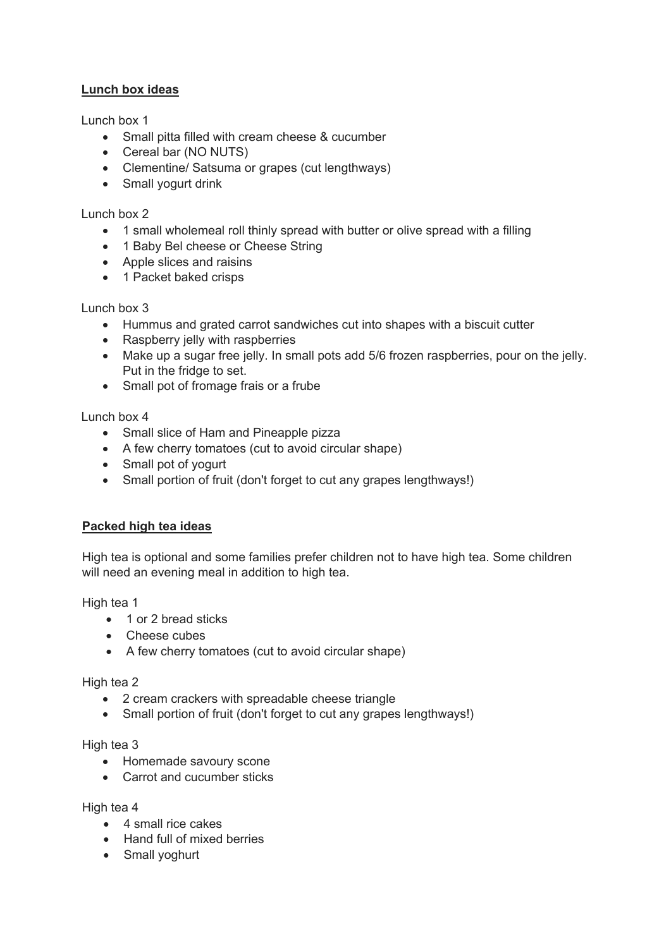# **Lunch box ideas**

Lunch box 1

- Small pitta filled with cream cheese & cucumber
- Cereal bar (NO NUTS)
- Clementine/ Satsuma or grapes (cut lengthways)
- Small yogurt drink

## Lunch box 2

- 1 small wholemeal roll thinly spread with butter or olive spread with a filling
- 1 Baby Bel cheese or Cheese String
- Apple slices and raisins
- 1 Packet baked crisps

# Lunch box 3

- Hummus and grated carrot sandwiches cut into shapes with a biscuit cutter
- Raspberry jelly with raspberries
- Make up a sugar free jelly. In small pots add 5/6 frozen raspberries, pour on the jelly. Put in the fridge to set.
- Small pot of fromage frais or a frube

Lunch box 4

- Small slice of Ham and Pineapple pizza
- A few cherry tomatoes (cut to avoid circular shape)
- Small pot of yogurt
- Small portion of fruit (don't forget to cut any grapes lengthways!)

# **Packed high tea ideas**

High tea is optional and some families prefer children not to have high tea. Some children will need an evening meal in addition to high tea.

High tea 1

- 1 or 2 bread sticks
- Cheese cubes
- A few cherry tomatoes (cut to avoid circular shape)

High tea 2

- 2 cream crackers with spreadable cheese triangle
- Small portion of fruit (don't forget to cut any grapes lengthways!)

#### High tea 3

- Homemade savoury scone
- Carrot and cucumber sticks

High tea 4

- 4 small rice cakes
- Hand full of mixed berries
- Small yoghurt